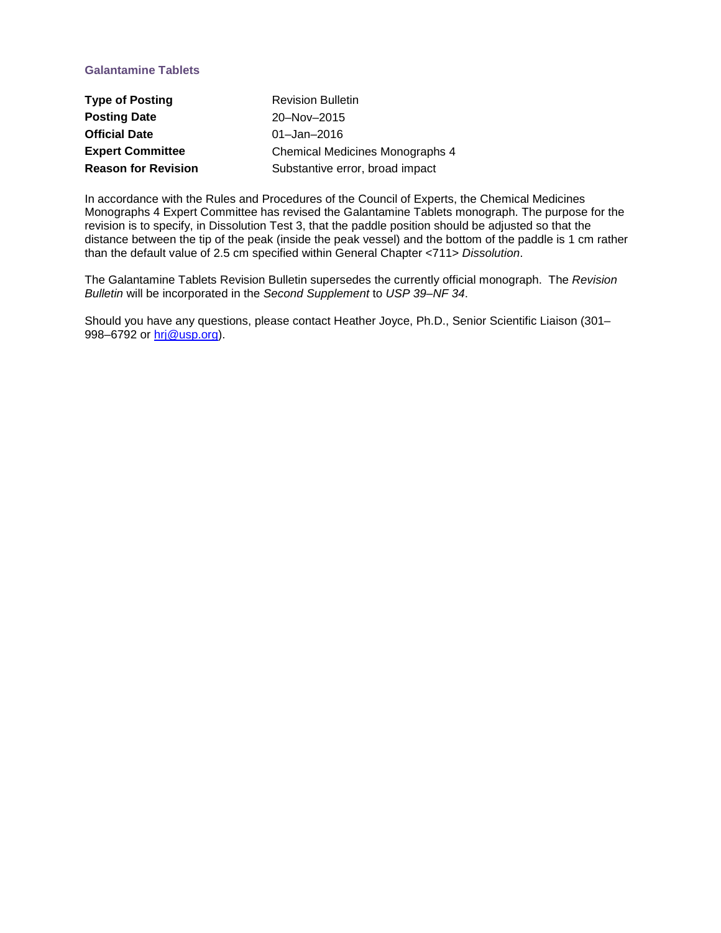## **Galantamine Tablets**

| <b>Type of Posting</b>     | <b>Revision Bulletin</b>               |
|----------------------------|----------------------------------------|
| <b>Posting Date</b>        | 20-Nov-2015                            |
| <b>Official Date</b>       | $01 -$ Jan $-2016$                     |
| <b>Expert Committee</b>    | <b>Chemical Medicines Monographs 4</b> |
| <b>Reason for Revision</b> | Substantive error, broad impact        |

In accordance with the Rules and Procedures of the Council of Experts, the Chemical Medicines Monographs 4 Expert Committee has revised the Galantamine Tablets monograph. The purpose for the revision is to specify, in Dissolution Test 3, that the paddle position should be adjusted so that the distance between the tip of the peak (inside the peak vessel) and the bottom of the paddle is 1 cm rather than the default value of 2.5 cm specified within General Chapter <711> *Dissolution*.

The Galantamine Tablets Revision Bulletin supersedes the currently official monograph. The *Revision Bulletin* will be incorporated in the *Second Supplement* to *USP 39–NF 34*.

Should you have any questions, please contact Heather Joyce, Ph.D., Senior Scientific Liaison (301– 998–6792 or [hrj@usp.org\)](mailto:hrj@usp.org).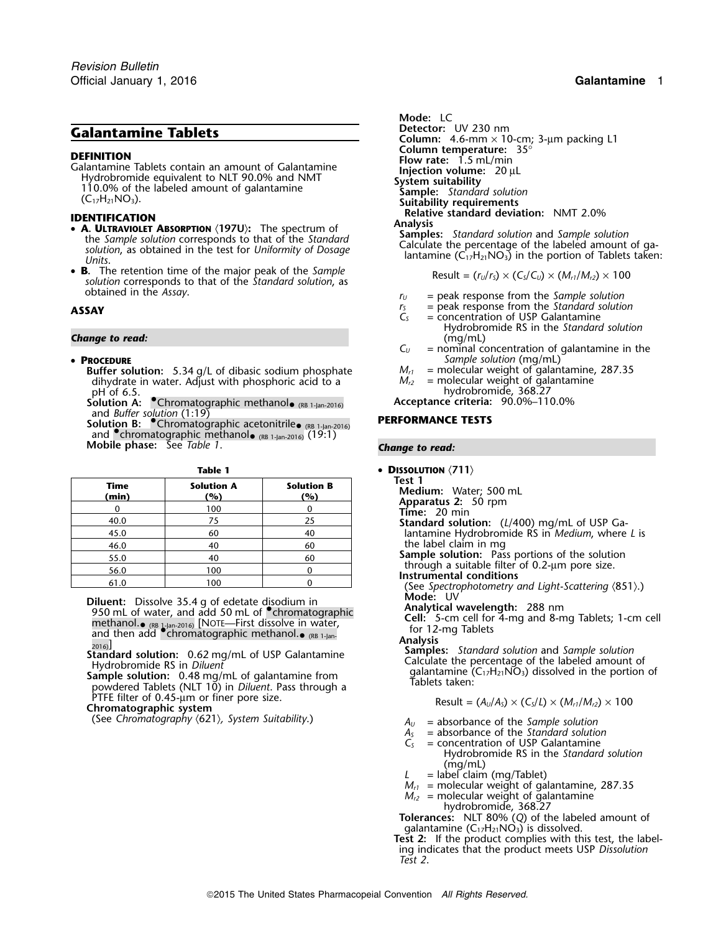**DEFINITION**<br>
Calantamine Tablets contain an amount of Galantamine<br>
Hydrobromide equivalent to NLT 90.0% and NMT<br>
110.0% of the labeled amount of galantamine<br>
(C<sub>17</sub>H<sub>21</sub>NO<sub>3</sub>).<br>
Sample: *Standard solution*<br>
Sample: *Stan* 

- **A. ULTRAVIOLET ABSORPTION** (197U): The spectrum of **Analysis**<br>the Sample solution corresponds to that of the Standard **Samples:** Standard solution and Sample solution the *Sample solution* corresponds to that of the *Standard*<br>solution, as obtained in the test for *Uniformity of Dosage* Calculate the percentage of the labeled amount of ga-<br>Units.<br>Units.
- **B.** The retention time of the major peak of the Sample<br>solution corresponds to that of the Standard solution, as  $\log \text{R} = (r_u/r_s) \times (C_s/C_u) \times (M_{r1}/M_{r2}) \times 100$ obtained in the *Assay*. *<sup>r</sup><sup>U</sup>* = peak response from the *Sample solution*

### • PROCEDURE

**Buffer solution:** 5.34 g/L of dibasic sodium phosphate  $M_{r1}$  = molecular weight of galantamine, dihydrate in water. Adjust with phosphoric acid to a  $M_{r2}$  = molecular weight of galantamine dihydrate in water. Adjust with phosphoric acid to a *pH* of 6.5.

Solution A: <sup>•</sup>Chromatographic methanol• (RB 1-Jan-2016)

and *Buffer solution* (1:19)<br>**Solution B: °C**hromatographic acetonitrile<sub>● (RB 1-Jan-2016) **PERFORMANCE TESTS**</sub> and **•**chromatographic methanol<sub>• (RB 1-Jan-2016) (19:1)</sub> **Mobile phase:** See *Table 1*. *Change to read:*

| Time<br>(min) | <b>Solution A</b><br>(%) | <b>Solution B</b><br>(%) | Test 1<br>Medium: Water; 500 mL                         |
|---------------|--------------------------|--------------------------|---------------------------------------------------------|
|               | 100                      |                          | Apparatus 2: 50 rpm<br>Time: $20 \text{ min}$           |
| 40.0          | 75                       | 25                       | Standard solution: (L/40                                |
| 45.0          | 60                       | 40                       | lantamine Hydrobromide                                  |
| 46.0          | 40                       | 60                       | the label claim in mg                                   |
| 55.0          | 40                       | 60                       | Sample solution: Pass p                                 |
| 56.0          | 100                      |                          | through a suitable filter of<br>Instrumental conditions |
| 61.0          | 100                      |                          | ے San Controphotometry (                                |

Diluent: Dissolve 35.4 g of edetate disodium in<br>
950 mL of water, and add 50 mL of Chromatographic<br>
methanol. (RB 1-Jan-2016) [NOTE—First dissolve in water,<br>
and then add Chromatographic methanol. e reset for 12-mg Tablets methanol. (RB 1-Jan-2016) [NOTE—First dissolve in water, For 12-mg Tablets and then add • chromatographic methanol. (RB 1-Jan-

PTFE filter of 0.45-µm or finer pore size.<br> **Chromatographic system**<br> **Chromatographic system** 

(See *Chromatography* 〈621〉*, System Suitability*.) *<sup>A</sup><sup>U</sup>* = absorbance of the *Sample solution*

**Mode: LC**<br>**Detector:** UV 230 nm **Galantamine Tablets**<br>Column: 4.6-mm × 10-cm; 3-µm packing L1<br>Column temperature: 35° **IDENTIFICATION**<br>**CALLY PAYIOUT ACCOPTION** (1971): The spectrum of **Relative standard deviation:** NMT 2.0%

- 
- 
- **ASSAY C**<sub>S</sub> = peak response from the *Standard solution*  $C_S$  = concentration of USP Galantamine
- Hydrobromide RS in the *Standard solution* **Change to read:** (mg/mL)  $C_v$  = nominal contract to the set of the set of the set of the set of the set of the set of the set of the set of the set of the set of the set of the set of the set of the set of the set of the
	- $=$  nominal concentration of galantamine in the
	- **P**<br>*M*<sub>r1</sub> = molecular weight of galantamine, 287.35
	-
	- hydrobromide, 368.27 (RB 1-Jan-2016) **Acceptance criteria:** 90.0%–110.0%

- **Table 1 DISSOLUTION** 〈**711**〉
	-
	-
	-
	-
	- **Standard solution:** (L/400) mg/mL of USP Galantamine Hydrobromide RS in *Medium*, where *L* is the label claim in mg
	- Sample solution: Pass portions of the solution through a suitable filter of 0.2-um pore size.<br>**Instrumental conditions**
	-

(See *Spectrophotometry and Light-Scattering* 〈851〉.)<br>**Mode:** UV

analysis<br>
Standard solution: 0.62 mg/mL of USP Galantamine<br>
Hydrobromide RS in Diluent<br>
Samples: Standard solution and Sample solution<br>
Hydrobromide RS in Diluent<br>
Sample solution: 0.48 mg/mL of galantamine from<br>
powdered

- 
- *A<sup>S</sup>* = absorbance of the *Standard solution*
- *C<sup>S</sup>* = concentration of USP Galantamine Hydrobromide RS in the *Standard solution* (mg/mL)
- = label claim (mg/Tablet)
- $M_{r1}$  = molecular weight of galantamine, 287.35
- $M_{r2}$  = molecular weight of galantamine hydrobromide, 368.27

**Tolerances:** NLT 80% (*Q*) of the labeled amount of galantamine  $(C_{17}H_{21}NO_3)$  is dissolved.

**Test 2:** If the product complies with this test, the labeling indicates that the product meets USP *Dissolution Test 2*.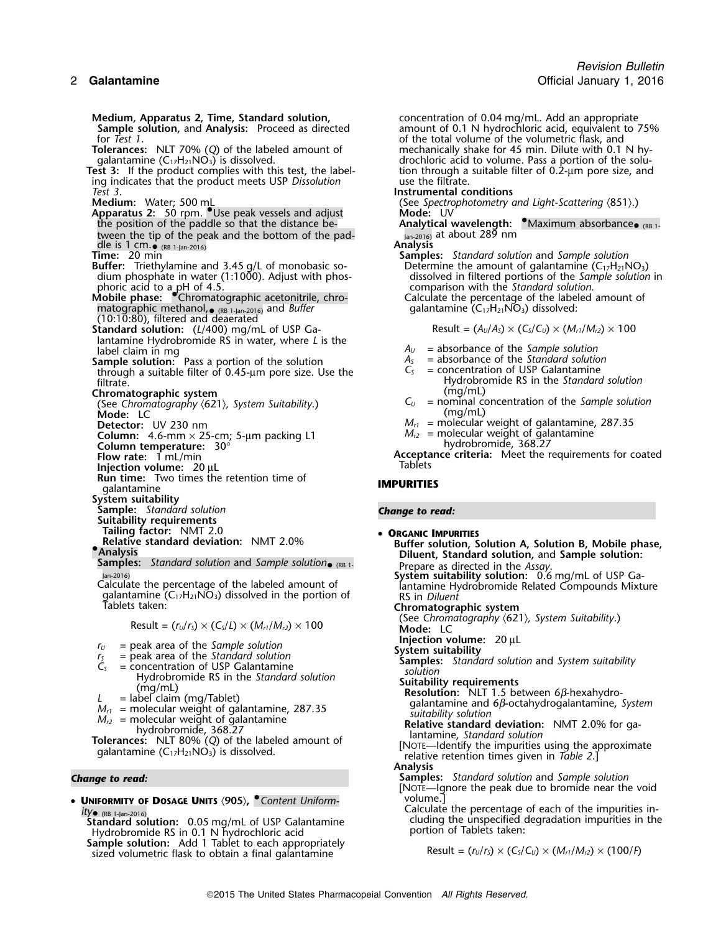**Sample solution,** and **Analysis:** Proceed as directed and amount of 0.1 N hydrochloric acid, equivalent to 75% of the total volume of the volumetric flask, and only in the *Tagga* of the total volume of the volumetric fla for *Test 1*.<br>**Tolerances:** NLT 70% (Q) of the labeled amount of the vertically shake for 45 min. Dilute with 0.1 **Tolerances:** NLT 70% (*Q*) of the labeled amount of mechanically shake for 45 min. Dilute with 0.1 N hy-<br>galantamine (C<sub>17</sub>H<sub>21</sub>NO<sub>3</sub>) is dissolved. **the solu-** drochloric acid to volume. Pass a portion of the solu-**Test 3:** If the product complies with this test, the label- tion through a suitable filtrate. ing indicates that the product meets USP *Dissolution*<br>Test 3. **Medium:** Water; 500 mL<br>**Apparatus 2:** 50 rpm. Use peak vessels and adjust **Mode:** UV **Mode:** UV **Apparatus 2:** 50 rpm. • Use peak vessels and adjust the position of the paddle so that the distance bethe position of the paddle so that the distance be- **Analytical wavelength: •**Maximum absorbance<sub>• (RB 1-</sub> tween the tip of the peak and the bottom of the pad-<br>dle is 1 cm. (RB 1-lan-2016) at about 289 nm dle is 1 cm. (RB 1-Jan-2016) (RB 1-Jan-2016) **Analysis Time:** 20 min **Samples:** *Standard solution* and *Sample solution* **Buffer:** Triethylamine and 3.45 g/L of monobasic so- Determine the amount of galantamine (C17H21NO3) dium phosphate in water (1:1000). Adjust with phos- dissolved in filtered portions of the *Sample solution* in phoric acid to a pH of 4.5.<br>**Mobile phase:** Chromatographic acetonitrile, chro- Calculate the percentage of the labeled amount of matographic methanol, •(10:10:80), filtered and deaerated **Standard solution:** (*L*/400) mg/mL of USP Ga- Result =  $(A_0/A_5) \times (C_5/C_0) \times (M_{r1}/M_{r2}) \times 100$ lantamine Hydrobromide RS in water, where *L* is the **Sample solution:** Pass a portion of the solution  $A_5$  = absorbance of the *Standard solution*<br>through a suitable filter of 0.45-um pore size. Use the  $C_5$  = concentration of USP Galantamine through a suitable filter of 0.45-µm pore size. Use the *filtrate*. **Chromatographic system** (mg/mL)<br>(See Chromatography (621), System Suitability.) C<sub>u</sub> = nominal co **Mode:** LC **Detector:** UV 230 nm<br> **Detector:** UV 230 nm<br> **Column:** 4.6-mm × 25-cm; 5-µm packing L1 M<sub>r2</sub> = molecular weight of galantamine **Column:** 4.6-mm  $\times$  25-cm; 5-µm packing L1 *M<sub>r2</sub>* = molecular weight of galantamine **Column temperature:**  $30^{\circ}$  **hydrobromide, 368.27 Flow rate:** 1 mL/min **Acceptance criteria:** Meet the requirements for coated **Injection volume:** 20 ul Injection volume: 20 µL **Run time:** Two times the retention time of **IMPURITIES**<br>qalantamine **System suitability Sample:** *Standard solution Change to read:* **Suitability requirements Tailing factor:** NMT 2.0 • **ORGANIC IMPURITIES Relative standard deviation:** NMT 2.0% **Buffer solution, Solution A, Solution B, Mobile phase, •**<br>• **Diluent, Standard solution,** and Sample solution: **Samples:** Standard solution and Sample solution• (RB 1-

galantamine (C<sub>17</sub>H<sub>21</sub>NO<sub>3</sub>) dissolved in the portion of *Diablets taken*:

- 
- 
- 
- 
- 
- 

• UNIFORMITY OF DOSAGE UNITS  $\langle 905 \rangle$ ,  $\bullet$  Content Uniform $lty_{\bullet}$  (RB 1-Jan-2016)

**Standard solution:** 0.05 mg/mL of USP Galantamine cluding the unspecified degradation: 0.05 mg/mL of USP Galantamine Hydrobromide RS in 0.1 N hydrochloric acid<br>**Sample solution:** Add 1 Tablet to each appropriately sized volumetric flask to obtain a final galantamine<br>sized volumetric flask to obtain a final galantamine<br> $Result = (r_0/r_s) \times (C_s/C_0) \times (M_{r_1}/M_{r_2}) \times (100/F)$ 

**Medium, Apparatus 2, Time, Standard solution, Standard Solution, Standard Solution, and Analysis: Proceed as directed an amount of 0.1 N hydrochloric acid, equivalent to impropriate amount of 0.1 N hydrochloric acid, equi** drochloric acid to volume. Pass a portion of the solution through a suitable filter of 0.2-um pore size, and

*Test 3*. **Instrumental conditions**

galantamine (C<sub>17</sub>H<sub>21</sub>NO<sub>3</sub>) dissolved:

- 
- $A_U$  = absorbance of the *Sample solution*<br> $A_S$  = absorbance of the *Standard solution*
- Hydrobromide RS in the *Standard solution*
- $C_U$  = nominal concentration of the *Sample solution* (mg/mL)
- 
- 

Prepare as directed in the *Assay*.<br>**System suitability solution:** 0.6 mg/mL of USP Ga-Calculate the percentage of the labeled amount of **System subsetsuitable the percentage of the labeled amount of** USP Calculate Hydrobromide Related Compounds Mixture galantamine (C<sub>17</sub>H<sub>21</sub>NO<sub>3</sub>) dissolved in the portion **Chromatographic system** (See *Chromatography* 〈621〉*, System Suitability*.) Result = (*<sup>r</sup>U*/*<sup>r</sup>S*) × (*CS*/*L*) × (*Mr1*/*Mr2*) ×<sup>100</sup> **Mode:** LC **Injection volume:** 20 µL<br>System suitability *F<sub>S</sub>* = peak area of the *Sample solution*<br> *F<sub>S</sub>* = peak area of the *Standard solution*<br> *C<sub>S</sub>* = concentration of USP Galantamine the *Standard solution*<br> *C*<sub>S</sub> = concentration of the *Standard solution*<br> *Samples:* **Analysis** *Change to read:* **Samples:** *Standard solution* and *Sample solution* [NOTE—Ignore the peak due to bromide near the void Calculate the percentage of each of the impurities in- *ity*•